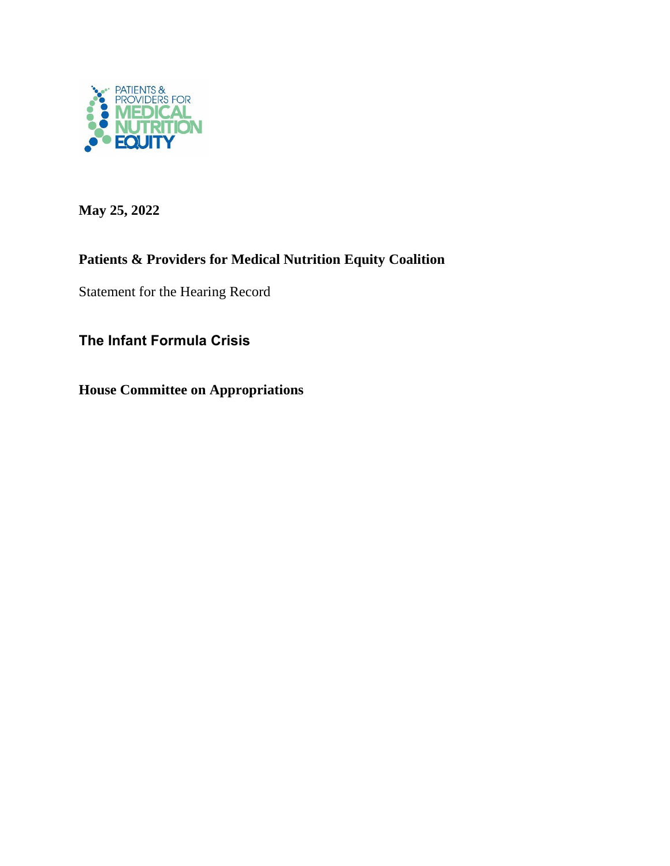

**May 25, 2022**

## **Patients & Providers for Medical Nutrition Equity Coalition**

Statement for the Hearing Record

**The Infant Formula Crisis**

**House Committee on Appropriations**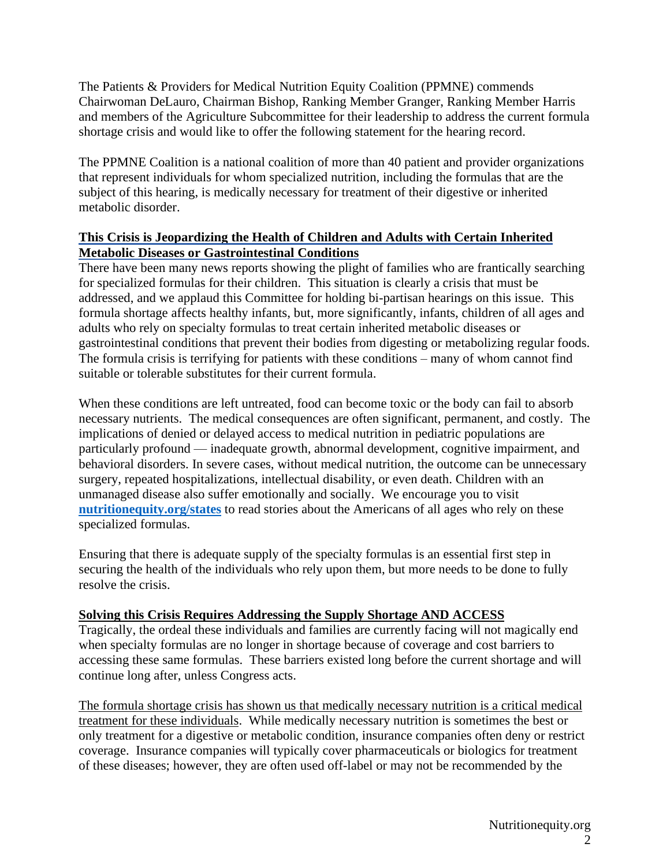The Patients & Providers for Medical Nutrition Equity Coalition (PPMNE) commends Chairwoman DeLauro, Chairman Bishop, Ranking Member Granger, Ranking Member Harris and members of the Agriculture Subcommittee for their leadership to address the current formula shortage crisis and would like to offer the following statement for the hearing record.

The PPMNE Coalition is a national coalition of more than 40 patient and provider organizations that represent individuals for whom specialized nutrition, including the formulas that are the subject of this hearing, is medically necessary for treatment of their digestive or inherited metabolic disorder.

## **This Crisis is Jeopardizing the Health of Children and Adults with Certain Inherited Metabolic Diseases or Gastrointestinal Conditions**

There have been many news reports showing the plight of families who are frantically searching for specialized formulas for their children. This situation is clearly a crisis that must be addressed, and we applaud this Committee for holding bi-partisan hearings on this issue. This formula shortage affects healthy infants, but, more significantly, infants, children of all ages and adults who rely on specialty formulas to treat certain inherited metabolic diseases or gastrointestinal conditions that prevent their bodies from digesting or metabolizing regular foods. The formula crisis is terrifying for patients with these conditions – many of whom cannot find suitable or tolerable substitutes for their current formula.

When these conditions are left untreated, food can become toxic or the body can fail to absorb necessary nutrients. The medical consequences are often significant, permanent, and costly. The implications of denied or delayed access to medical nutrition in pediatric populations are particularly profound — inadequate growth, abnormal development, cognitive impairment, and behavioral disorders. In severe cases, without medical nutrition, the outcome can be unnecessary surgery, repeated hospitalizations, intellectual disability, or even death. Children with an unmanaged disease also suffer emotionally and socially. We encourage you to visit **nutritionequity.org/states** to read stories about the Americans of all ages who rely on these specialized formulas.

Ensuring that there is adequate supply of the specialty formulas is an essential first step in securing the health of the individuals who rely upon them, but more needs to be done to fully resolve the crisis.

## **Solving this Crisis Requires Addressing the Supply Shortage AND ACCESS**

Tragically, the ordeal these individuals and families are currently facing will not magically end when specialty formulas are no longer in shortage because of coverage and cost barriers to accessing these same formulas. These barriers existed long before the current shortage and will continue long after, unless Congress acts.

The formula shortage crisis has shown us that medically necessary nutrition is a critical medical treatment for these individuals. While medically necessary nutrition is sometimes the best or only treatment for a digestive or metabolic condition, insurance companies often deny or restrict coverage. Insurance companies will typically cover pharmaceuticals or biologics for treatment of these diseases; however, they are often used off-label or may not be recommended by the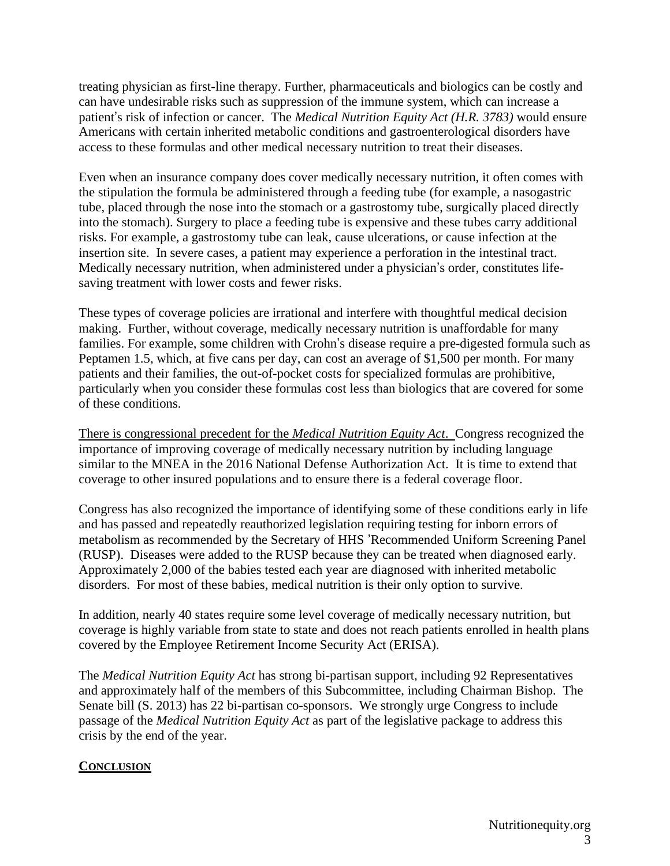treating physician as first-line therapy. Further, pharmaceuticals and biologics can be costly and can have undesirable risks such as suppression of the immune system, which can increase a patient's risk of infection or cancer. The *Medical Nutrition Equity Act (H.R. 3783)* would ensure Americans with certain inherited metabolic conditions and gastroenterological disorders have access to these formulas and other medical necessary nutrition to treat their diseases.

Even when an insurance company does cover medically necessary nutrition, it often comes with the stipulation the formula be administered through a feeding tube (for example, a nasogastric tube, placed through the nose into the stomach or a gastrostomy tube, surgically placed directly into the stomach). Surgery to place a feeding tube is expensive and these tubes carry additional risks. For example, a gastrostomy tube can leak, cause ulcerations, or cause infection at the insertion site. In severe cases, a patient may experience a perforation in the intestinal tract. Medically necessary nutrition, when administered under a physician's order, constitutes lifesaving treatment with lower costs and fewer risks.

These types of coverage policies are irrational and interfere with thoughtful medical decision making. Further, without coverage, medically necessary nutrition is unaffordable for many families. For example, some children with Crohn's disease require a pre-digested formula such as Peptamen 1.5, which, at five cans per day, can cost an average of \$1,500 per month. For many patients and their families, the out-of-pocket costs for specialized formulas are prohibitive, particularly when you consider these formulas cost less than biologics that are covered for some of these conditions.

There is congressional precedent for the *Medical Nutrition Equity Act*. Congress recognized the importance of improving coverage of medically necessary nutrition by including language similar to the MNEA in the 2016 National Defense Authorization Act. It is time to extend that coverage to other insured populations and to ensure there is a federal coverage floor.

Congress has also recognized the importance of identifying some of these conditions early in life and has passed and repeatedly reauthorized legislation requiring testing for inborn errors of metabolism as recommended by the Secretary of HHS 'Recommended Uniform Screening Panel (RUSP). Diseases were added to the RUSP because they can be treated when diagnosed early. Approximately 2,000 of the babies tested each year are diagnosed with inherited metabolic disorders. For most of these babies, medical nutrition is their only option to survive.

In addition, nearly 40 states require some level coverage of medically necessary nutrition, but coverage is highly variable from state to state and does not reach patients enrolled in health plans covered by the Employee Retirement Income Security Act (ERISA).

The *Medical Nutrition Equity Act* has strong bi-partisan support, including 92 Representatives and approximately half of the members of this Subcommittee, including Chairman Bishop. The Senate bill (S. 2013) has 22 bi-partisan co-sponsors. We strongly urge Congress to include passage of the *Medical Nutrition Equity Act* as part of the legislative package to address this crisis by the end of the year.

## **CONCLUSION**